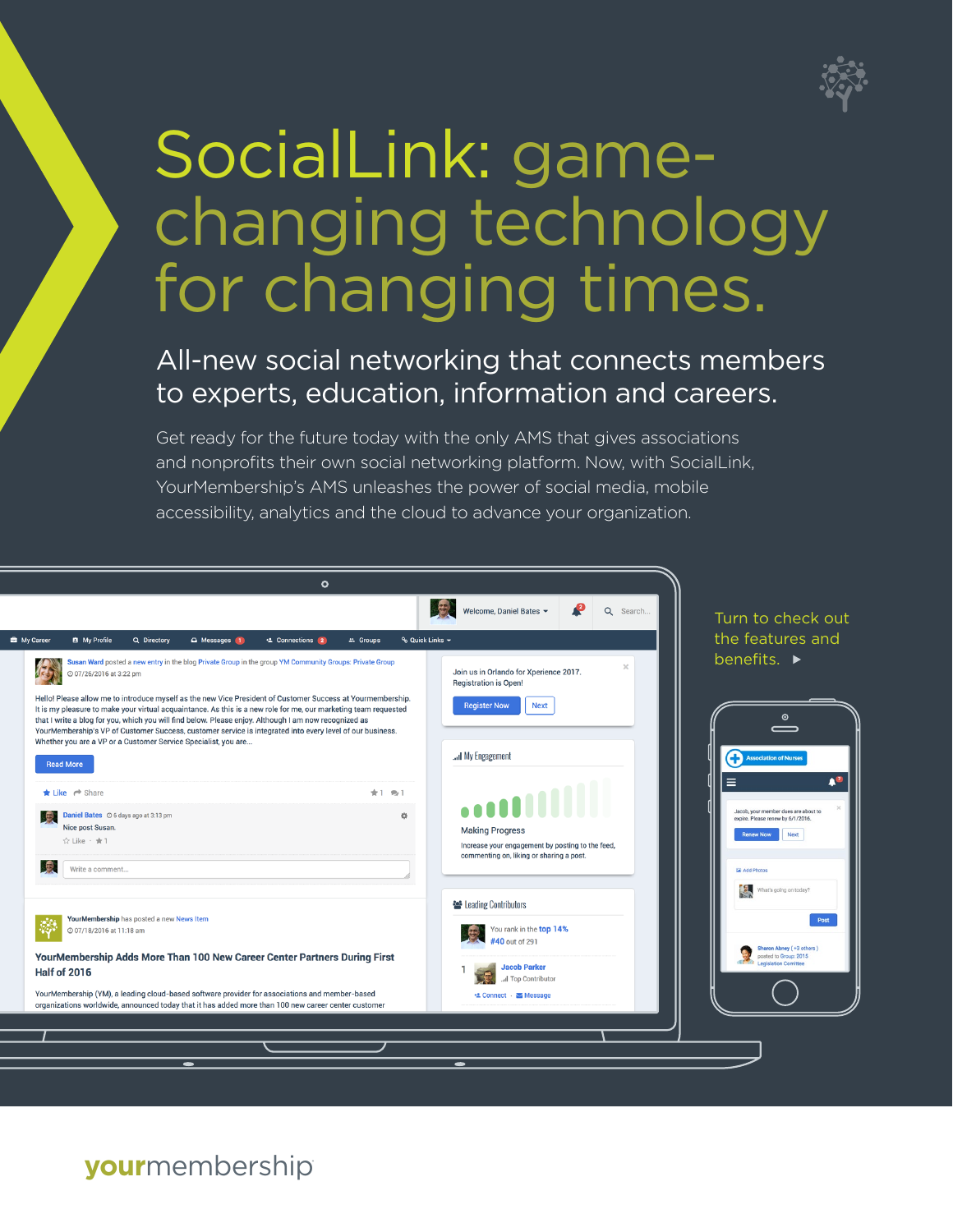

# SocialLink: gamechanging technology for changing times.

### All-new social networking that connects members to experts, education, information and careers.

Get ready for the future today with the only AMS that gives associations and nonprofits their own social networking platform. Now, with SocialLink, YourMembership's AMS unleashes the power of social media, mobile accessibility, analytics and the cloud to advance your organization.



**your**membership**®**